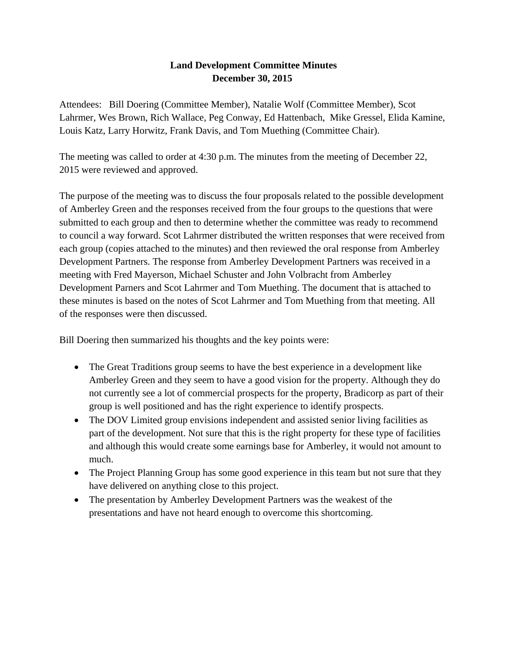### **Land Development Committee Minutes December 30, 2015**

Attendees: Bill Doering (Committee Member), Natalie Wolf (Committee Member), Scot Lahrmer, Wes Brown, Rich Wallace, Peg Conway, Ed Hattenbach, Mike Gressel, Elida Kamine, Louis Katz, Larry Horwitz, Frank Davis, and Tom Muething (Committee Chair).

The meeting was called to order at 4:30 p.m. The minutes from the meeting of December 22, 2015 were reviewed and approved.

The purpose of the meeting was to discuss the four proposals related to the possible development of Amberley Green and the responses received from the four groups to the questions that were submitted to each group and then to determine whether the committee was ready to recommend to council a way forward. Scot Lahrmer distributed the written responses that were received from each group (copies attached to the minutes) and then reviewed the oral response from Amberley Development Partners. The response from Amberley Development Partners was received in a meeting with Fred Mayerson, Michael Schuster and John Volbracht from Amberley Development Parners and Scot Lahrmer and Tom Muething. The document that is attached to these minutes is based on the notes of Scot Lahrmer and Tom Muething from that meeting. All of the responses were then discussed.

Bill Doering then summarized his thoughts and the key points were:

- The Great Traditions group seems to have the best experience in a development like Amberley Green and they seem to have a good vision for the property. Although they do not currently see a lot of commercial prospects for the property, Bradicorp as part of their group is well positioned and has the right experience to identify prospects.
- The DOV Limited group envisions independent and assisted senior living facilities as part of the development. Not sure that this is the right property for these type of facilities and although this would create some earnings base for Amberley, it would not amount to much.
- The Project Planning Group has some good experience in this team but not sure that they have delivered on anything close to this project.
- The presentation by Amberley Development Partners was the weakest of the presentations and have not heard enough to overcome this shortcoming.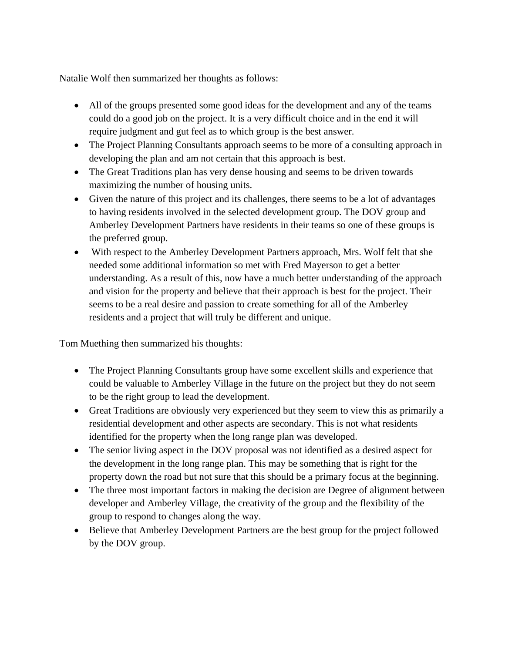Natalie Wolf then summarized her thoughts as follows:

- All of the groups presented some good ideas for the development and any of the teams could do a good job on the project. It is a very difficult choice and in the end it will require judgment and gut feel as to which group is the best answer.
- The Project Planning Consultants approach seems to be more of a consulting approach in developing the plan and am not certain that this approach is best.
- The Great Traditions plan has very dense housing and seems to be driven towards maximizing the number of housing units.
- Given the nature of this project and its challenges, there seems to be a lot of advantages to having residents involved in the selected development group. The DOV group and Amberley Development Partners have residents in their teams so one of these groups is the preferred group.
- With respect to the Amberley Development Partners approach, Mrs. Wolf felt that she needed some additional information so met with Fred Mayerson to get a better understanding. As a result of this, now have a much better understanding of the approach and vision for the property and believe that their approach is best for the project. Their seems to be a real desire and passion to create something for all of the Amberley residents and a project that will truly be different and unique.

Tom Muething then summarized his thoughts:

- The Project Planning Consultants group have some excellent skills and experience that could be valuable to Amberley Village in the future on the project but they do not seem to be the right group to lead the development.
- Great Traditions are obviously very experienced but they seem to view this as primarily a residential development and other aspects are secondary. This is not what residents identified for the property when the long range plan was developed.
- The senior living aspect in the DOV proposal was not identified as a desired aspect for the development in the long range plan. This may be something that is right for the property down the road but not sure that this should be a primary focus at the beginning.
- The three most important factors in making the decision are Degree of alignment between developer and Amberley Village, the creativity of the group and the flexibility of the group to respond to changes along the way.
- Believe that Amberley Development Partners are the best group for the project followed by the DOV group.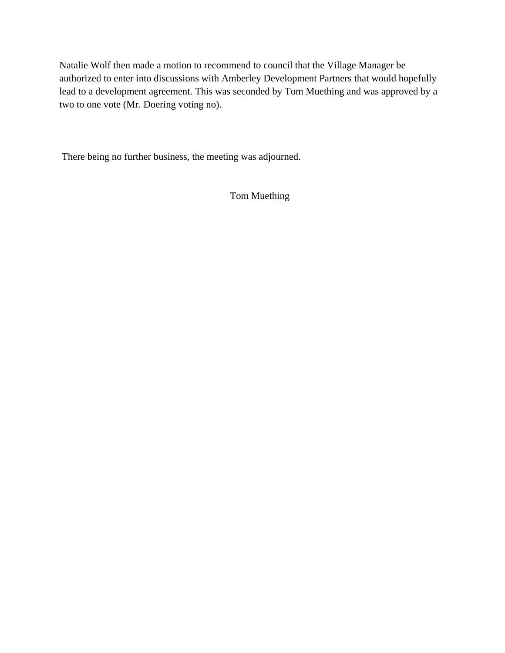Natalie Wolf then made a motion to recommend to council that the Village Manager be authorized to enter into discussions with Amberley Development Partners that would hopefully lead to a development agreement. This was seconded by Tom Muething and was approved by a two to one vote (Mr. Doering voting no).

There being no further business, the meeting was adjourned.

Tom Muething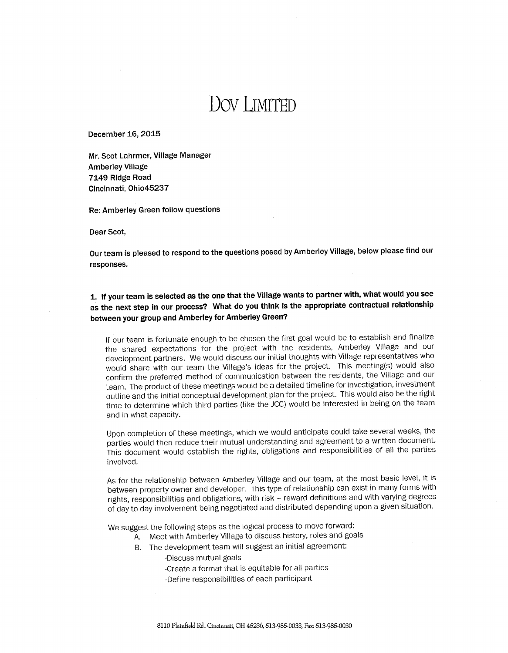# DOV LIMITED

December 16, 2015

Mr. Scot Lahrmer, Village Manager **Amberley Village** 7149 Ridge Road Cincinnati, Ohio45237

Re: Amberley Green follow questions

Dear Scot,

Our team is pleased to respond to the questions posed by Amberley Village, below please find our responses.

1. If your team is selected as the one that the Village wants to partner with, what would you see as the next step in our process? What do you think is the appropriate contractual relationship between your group and Amberley for Amberley Green?

If our team is fortunate enough to be chosen the first goal would be to establish and finalize the shared expectations for the project with the residents, Amberley Village and our development partners. We would discuss our initial thoughts with Village representatives who would share with our team the Village's ideas for the project. This meeting(s) would also confirm the preferred method of communication between the residents, the Village and our team. The product of these meetings would be a detailed timeline for investigation, investment outline and the initial conceptual development plan for the project. This would also be the right time to determine which third parties (like the JCC) would be interested in being on the team and in what capacity.

Upon completion of these meetings, which we would anticipate could take several weeks, the parties would then reduce their mutual understanding and agreement to a written document. This document would establish the rights, obligations and responsibilities of all the parties involved.

As for the relationship between Amberley Village and our team, at the most basic level, it is between property owner and developer. This type of relationship can exist in many forms with rights, responsibilities and obligations, with risk - reward definitions and with varying degrees of day to day involvement being negotiated and distributed depending upon a given situation.

We suggest the following steps as the logical process to move forward:

- A. Meet with Amberley Village to discuss history, roles and goals
- B. The development team will suggest an initial agreement:

-Discuss mutual goals

-Create a format that is equitable for all parties -Define responsibilities of each participant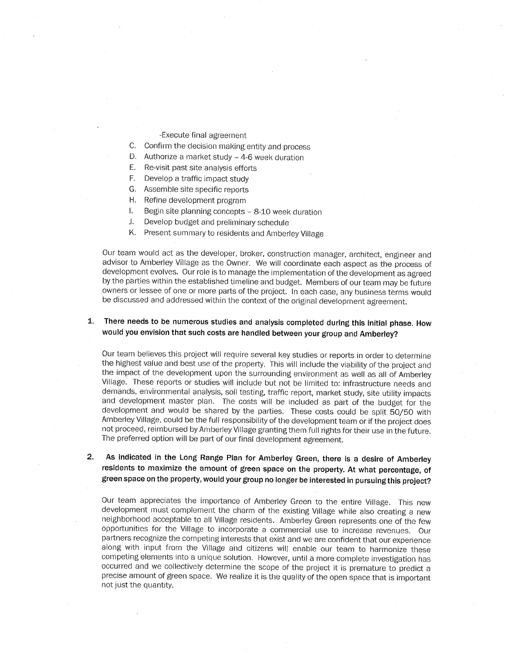- -Execute final agreement
- C. Confirm the decision making entity and process
- D. Authorize a market study 4-6 week duration
- E. Re-visit past site analysis efforts
- F. Develop a traffic impact study
- G. Assemble site specific reports
- H. Refine development program
- $\mathbf{L}$ Begin site planning concepts - 8-10 week duration
- $J_{\star}$ Develop budget and preliminary schedule
- K. Present summary to residents and Amberley Village

Our team would act as the developer, broker, construction manager, architect, engineer and advisor to Amberley Village as the Owner. We will coordinate each aspect as the process of development evolves. Our role is to manage the implementation of the development as agreed by the parties within the established timeline and budget. Members of our team may be future owners or lessee of one or more parts of the project. In each case, any business terms would be discussed and addressed within the context of the original development agreement.

#### $\mathbf{1}$ . There needs to be numerous studies and analysis completed during this initial phase. How would you envision that such costs are handled between your group and Amberley?

Our team believes this project will require several key studies or reports in order to determine the highest value and best use of the property. This will include the viability of the project and the impact of the development upon the surrounding environment as well as all of Amberley Village. These reports or studies will include but not be limited to: infrastructure needs and demands, environmental analysis, soil testing, traffic report, market study, site utility impacts and development master plan. The costs will be included as part of the budget for the development and would be shared by the parties. These costs could be split 50/50 with Amberley Village, could be the full responsibility of the development team or if the project does not proceed, reimbursed by Amberley Village granting them full rights for their use in the future. The preferred option will be part of our final development agreement.

As indicated in the Long Range Plan for Amberley Green, there is a desire of Amberley  $2<sub>1</sub>$ residents to maximize the amount of green space on the property. At what percentage, of green space on the property, would your group no longer be interested in pursuing this project?

Our team appreciates the importance of Amberley Green to the entire Village. This new development must complement the charm of the existing Village while also creating a new neighborhood acceptable to all Village residents. Amberley Green represents one of the few opportunities for the Village to incorporate a commercial use to increase revenues. Our partners recognize the competing interests that exist and we are confident that our experience along with input from the Village and citizens will enable our team to harmonize these competing elements into a unique solution. However, until a more complete investigation has occurred and we collectively determine the scope of the project it is premature to predict a precise amount of green space. We realize it is the quality of the open space that is important not just the quantity.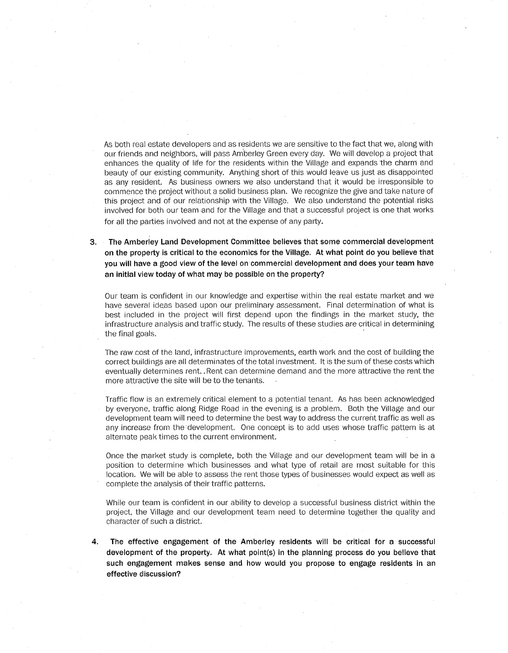As both real estate developers and as residents we are sensitive to the fact that we, along with our friends and neighbors, will pass Amberley Green every day. We will develop a project that enhances the quality of life for the residents within the Village and expands the charm and beauty of our existing community. Anything short of this would leave us just as disappointed as any resident. As business owners we also understand that it would be irresponsible to commence the project without a solid business plan. We recognize the give and take nature of this project and of our relationship with the Village. We also understand the potential risks involved for both our team and for the Village and that a successful project is one that works for all the parties involved and not at the expense of any party.

The Amberley Land Development Committee believes that some commercial development 3. on the property is critical to the economics for the Village. At what point do you believe that you will have a good view of the level on commercial development and does your team have an initial view today of what may be possible on the property?

Our team is confident in our knowledge and expertise within the real estate market and we have several ideas based upon our preliminary assessment. Final determination of what is best included in the project will first depend upon the findings in the market study, the infrastructure analysis and traffic study. The results of these studies are critical in determining the final goals.

The raw cost of the land, infrastructure improvements, earth work and the cost of building the correct buildings are all determinates of the total investment. It is the sum of these costs which eventually determines rent, . Rent can determine demand and the more attractive the rent the more attractive the site will be to the tenants.

Traffic flow is an extremely critical element to a potential tenant. As has been acknowledged by everyone, traffic along Ridge Road in the evening is a problem. Both the Village and our development team will need to determine the best way to address the current traffic as well as any increase from the development. One concept is to add uses whose traffic pattern is at alternate peak times to the current environment.

Once the market study is complete, both the Village and our development team will be in a position to determine which businesses and what type of retail are most suitable for this location. We will be able to assess the rent those types of businesses would expect as well as complete the analysis of their traffic patterns.

While our team is confident in our ability to develop a successful business district within the project, the Village and our development team need to determine together the quality and character of such a district.

4. The effective engagement of the Amberley residents will be critical for a successful development of the property. At what point(s) in the planning process do you believe that such engagement makes sense and how would you propose to engage residents in an effective discussion?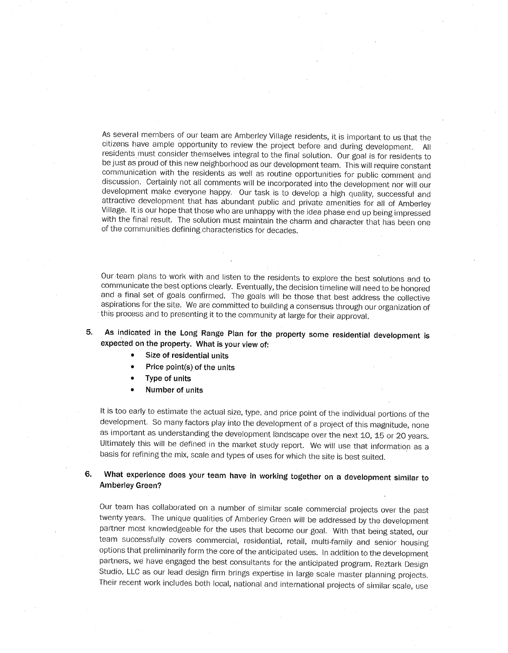As several members of our team are Amberley Village residents, it is important to us that the citizens have ample opportunity to review the project before and during development. All residents must consider themselves integral to the final solution. Our goal is for residents to be just as proud of this new neighborhood as our development team. This will require constant communication with the residents as well as routine opportunities for public comment and discussion. Certainly not all comments will be incorporated into the development nor will our development make everyone happy. Our task is to develop a high quality, successful and attractive development that has abundant public and private amenities for all of Amberley Village. It is our hope that those who are unhappy with the idea phase end up being impressed with the final result. The solution must maintain the charm and character that has been one of the communities defining characteristics for decades.

Our team plans to work with and listen to the residents to explore the best solutions and to communicate the best options clearly. Eventually, the decision timeline will need to be honored and a final set of goals confirmed. The goals will be those that best address the collective aspirations for the site. We are committed to building a consensus through our organization of this process and to presenting it to the community at large for their approval.

5. As indicated in the Long Range Plan for the property some residential development is expected on the property. What is your view of:

- Size of residential units
- Price point(s) of the units
- Type of units
- Number of units

It is too early to estimate the actual size, type, and price point of the individual portions of the development. So many factors play into the development of a project of this magnitude, none as important as understanding the development landscape over the next 10, 15 or 20 years. Ultimately this will be defined in the market study report. We will use that information as a basis for refining the mix, scale and types of uses for which the site is best suited.

6. What experience does your team have in working together on a development similar to Amberley Green?

Our team has collaborated on a number of similar scale commercial projects over the past twenty years. The unique qualities of Amberley Green will be addressed by the development partner most knowledgeable for the uses that become our goal. With that being stated, our team successfully covers commercial, residential, retail, multi-family and senior housing options that preliminarily form the core of the anticipated uses. In addition to the development partners, we have engaged the best consultants for the anticipated program. Reztark Design Studio, LLC as our lead design firm brings expertise in large scale master planning projects. Their recent work includes both local, national and international projects of similar scale, use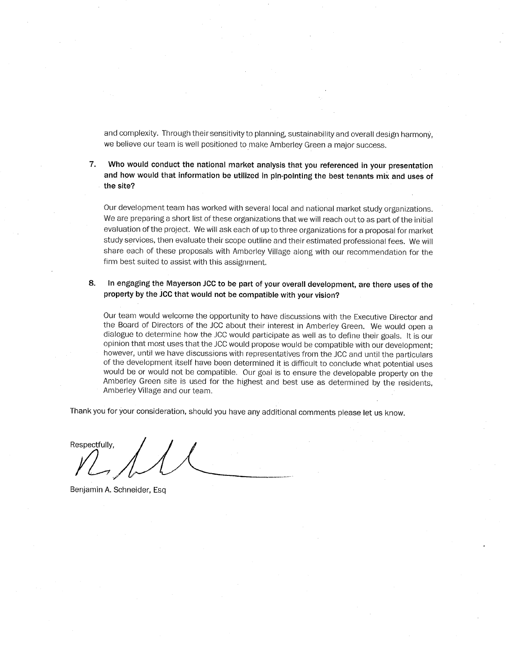and complexity. Through their sensitivity to planning, sustainability and overall design harmony, we believe our team is well positioned to make Amberley Green a major success.

 $7.$ Who would conduct the national market analysis that you referenced in your presentation and how would that information be utilized in pin-pointing the best tenants mix and uses of the site?

Our development team has worked with several local and national market study organizations. We are preparing a short list of these organizations that we will reach out to as part of the initial evaluation of the project. We will ask each of up to three organizations for a proposal for market study services, then evaluate their scope outline and their estimated professional fees. We will share each of these proposals with Amberley Village along with our recommendation for the firm best suited to assist with this assignment.

#### In engaging the Mayerson JCC to be part of your overall development, are there uses of the 8. property by the JCC that would not be compatible with your vision?

Our team would welcome the opportunity to have discussions with the Executive Director and the Board of Directors of the JCC about their interest in Amberley Green. We would open a dialogue to determine how the JCC would participate as well as to define their goals. It is our opinion that most uses that the JCC would propose would be compatible with our development; however, until we have discussions with representatives from the JCC and until the particulars of the development itself have been determined it is difficult to conclude what potential uses would be or would not be compatible. Our goal is to ensure the developable property on the Amberley Green site is used for the highest and best use as determined by the residents, Amberley Village and our team.

Thank you for your consideration, should you have any additional comments please let us know.

Respectfully.

Benjamin A. Schneider, Esg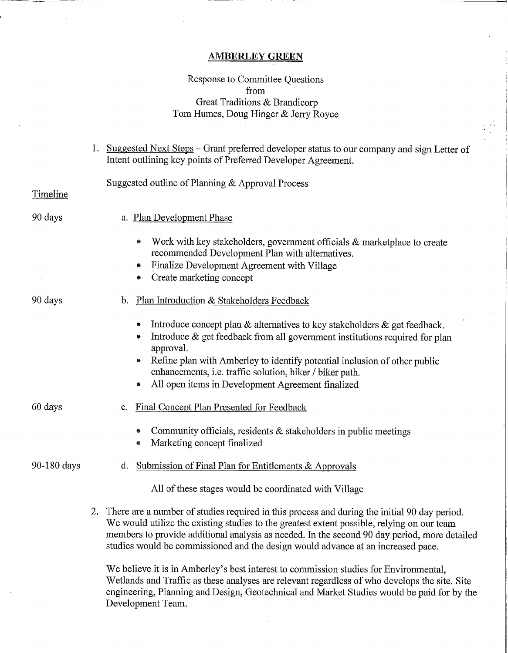#### **AMBERLEY GREEN**

#### Response to Committee Questions from Great Traditions & Brandicorp Tom Humes, Doug Hinger & Jerry Royce

|             | Suggested Next Steps – Grant preferred developer status to our company and sign Letter of<br>Intent outlining key points of Preferred Developer Agreement.                                                                                                                                                                                                                          |
|-------------|-------------------------------------------------------------------------------------------------------------------------------------------------------------------------------------------------------------------------------------------------------------------------------------------------------------------------------------------------------------------------------------|
| Timeline    | Suggested outline of Planning & Approval Process                                                                                                                                                                                                                                                                                                                                    |
| 90 days     | a. Plan Development Phase                                                                                                                                                                                                                                                                                                                                                           |
|             | Work with key stakeholders, government officials & marketplace to create<br>۰<br>recommended Development Plan with alternatives.<br>Finalize Development Agreement with Village<br>$\pmb{\circ}$<br>Create marketing concept<br>$\bullet$                                                                                                                                           |
| 90 days     | Plan Introduction & Stakeholders Feedback<br>b.                                                                                                                                                                                                                                                                                                                                     |
|             | Introduce concept plan $\&$ alternatives to key stakeholders $\&$ get feedback.<br>◉<br>Introduce & get feedback from all government institutions required for plan<br>۰<br>approval.<br>Refine plan with Amberley to identify potential inclusion of other public<br>enhancements, i.e. traffic solution, hiker / biker path.<br>All open items in Development Agreement finalized |
| 60 days     | Final Concept Plan Presented for Feedback<br>c.                                                                                                                                                                                                                                                                                                                                     |
|             | Community officials, residents & stakeholders in public meetings<br>Marketing concept finalized<br>⊜                                                                                                                                                                                                                                                                                |
| 90-180 days | Submission of Final Plan for Entitlements & Approvals<br>d.                                                                                                                                                                                                                                                                                                                         |
|             | All of these stages would be coordinated with Village                                                                                                                                                                                                                                                                                                                               |
|             | 2. There are a number of studies required in this process and during the initial 90 day period.<br>We would utilize the existing studies to the greatest extent possible, relying on our team<br>members to provide additional analysis as needed. In the second 90 day period, more detailed<br>studies would be commissioned and the design would advance at an increased pace.   |

We believe it is in Amberley's best interest to commission studies for Environmental, Wetlands and Traffic as these analyses are relevant regardless of who develops the site. Site engineering, Planning and Design, Geotechnical and Market Studies would be paid for by the Development Team.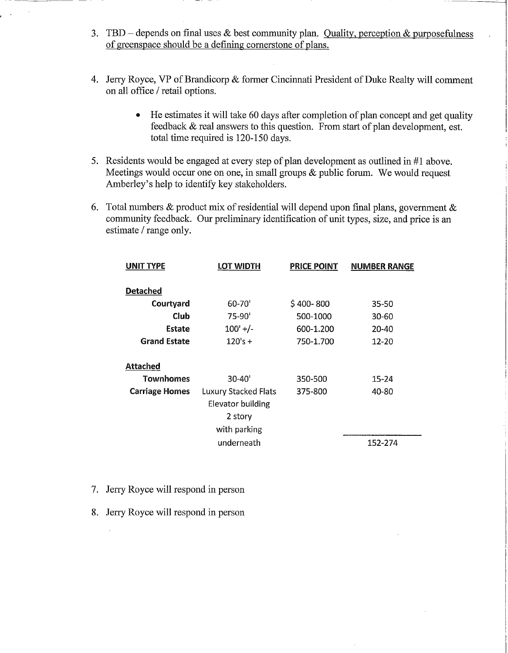- 3. TBD depends on final uses  $\&$  best community plan. Quality, perception  $\&$  purposefulness of greenspace should be a defining cornerstone of plans.
- 4. Jerry Royce, VP of Brandicorp & former Cincinnati President of Duke Realty will comment on all office / retail options.
	- He estimates it will take 60 days after completion of plan concept and get quality  $\bullet$ feedback & real answers to this question. From start of plan development, est. total time required is 120-150 days.
- 5. Residents would be engaged at every step of plan development as outlined in #1 above. Meetings would occur one on one, in small groups  $\&$  public forum. We would request Amberley's help to identify key stakeholders.
- 6. Total numbers & product mix of residential will depend upon final plans, government & community feedback. Our preliminary identification of unit types, size, and price is an estimate / range only.

| <b>UNIT TYPE</b>      | LOT WIDTH                   | <b>PRICE POINT</b> | <b>NUMBER RANGE</b> |
|-----------------------|-----------------------------|--------------------|---------------------|
|                       |                             |                    |                     |
| <b>Detached</b>       |                             |                    |                     |
| Courtyard             | 60-70'                      | $$400-800$         | 35-50               |
| Club                  | $75-90'$                    | 500-1000           | $30 - 60$           |
| Estate                | $100'$ +/-                  | 600-1.200          | 20-40               |
| <b>Grand Estate</b>   | $120's +$                   | 750-1.700          | $12 - 20$           |
|                       |                             |                    |                     |
| <b>Attached</b>       |                             |                    |                     |
| Townhomes             | $30 - 40'$                  | 350-500            | 15-24               |
| <b>Carriage Homes</b> | <b>Luxury Stacked Flats</b> | 375-800            | 40-80               |
|                       | Elevator building           |                    |                     |
|                       | 2 story                     |                    |                     |
|                       | with parking                |                    |                     |
|                       | underneath                  |                    | 152-274             |

- 7. Jerry Royce will respond in person
- 8. Jerry Royce will respond in person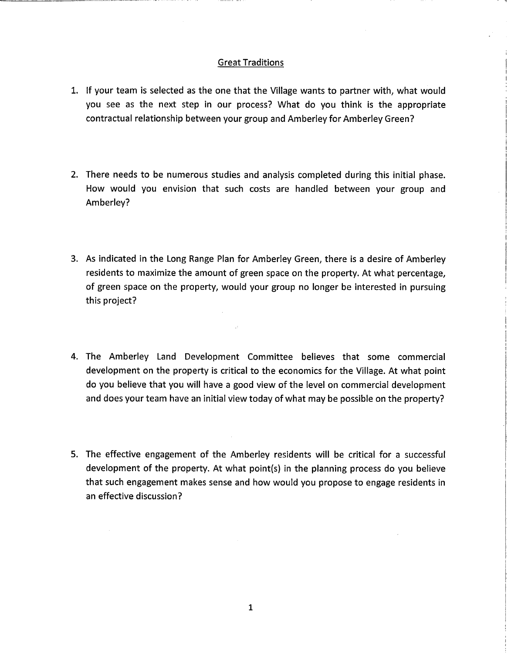#### **Great Traditions**

- 1. If your team is selected as the one that the Village wants to partner with, what would you see as the next step in our process? What do you think is the appropriate contractual relationship between your group and Amberley for Amberley Green?
- 2. There needs to be numerous studies and analysis completed during this initial phase. How would you envision that such costs are handled between your group and Amberley?
- 3. As indicated in the Long Range Plan for Amberley Green, there is a desire of Amberley residents to maximize the amount of green space on the property. At what percentage, of green space on the property, would your group no longer be interested in pursuing this project?
- 4. The Amberley Land Development Committee believes that some commercial development on the property is critical to the economics for the Village. At what point do you believe that you will have a good view of the level on commercial development and does your team have an initial view today of what may be possible on the property?
- 5. The effective engagement of the Amberley residents will be critical for a successful development of the property. At what point(s) in the planning process do you believe that such engagement makes sense and how would you propose to engage residents in an effective discussion?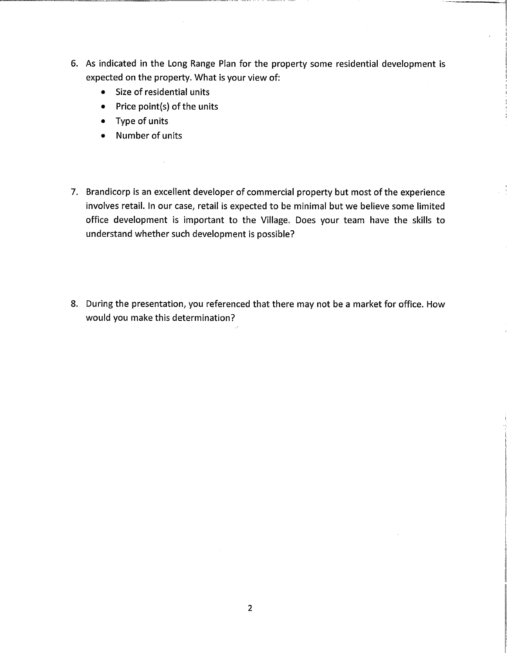- 6. As indicated in the Long Range Plan for the property some residential development is expected on the property. What is your view of:
	- Size of residential units
	- $\bullet$  Price point(s) of the units
	- Type of units
	- Number of units
- 7. Brandicorp is an excellent developer of commercial property but most of the experience involves retail. In our case, retail is expected to be minimal but we believe some limited office development is important to the Village. Does your team have the skills to understand whether such development is possible?
- 8. During the presentation, you referenced that there may not be a market for office. How would you make this determination?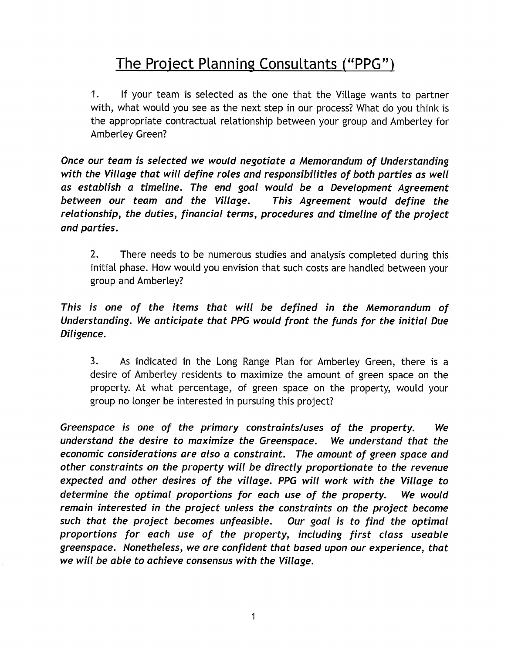## The Project Planning Consultants ("PPG")

 $1.$ If your team is selected as the one that the Village wants to partner with, what would you see as the next step in our process? What do you think is the appropriate contractual relationship between your group and Amberley for Amberley Green?

Once our team is selected we would negotiate a Memorandum of Understanding with the Village that will define roles and responsibilities of both parties as well as establish a timeline. The end goal would be a Development Agreement between our team and the Village. This Agreement would define the relationship, the duties, financial terms, procedures and timeline of the project and parties.

 $2.$ There needs to be numerous studies and analysis completed during this initial phase. How would you envision that such costs are handled between your group and Amberley?

### This is one of the items that will be defined in the Memorandum of Understanding. We anticipate that PPG would front the funds for the initial Due Diligence.

 $3.$ As indicated in the Long Range Plan for Amberley Green, there is a desire of Amberley residents to maximize the amount of green space on the property. At what percentage, of green space on the property, would your group no longer be interested in pursuing this project?

Greenspace is one of the primary constraints/uses of the property. We understand the desire to maximize the Greenspace. We understand that the economic considerations are also a constraint. The amount of green space and other constraints on the property will be directly proportionate to the revenue expected and other desires of the village. PPG will work with the Village to determine the optimal proportions for each use of the property. We would remain interested in the project unless the constraints on the project become such that the project becomes unfeasible. Our goal is to find the optimal proportions for each use of the property, including first class useable greenspace. Nonetheless, we are confident that based upon our experience, that we will be able to achieve consensus with the Village.

 $\mathbf{1}$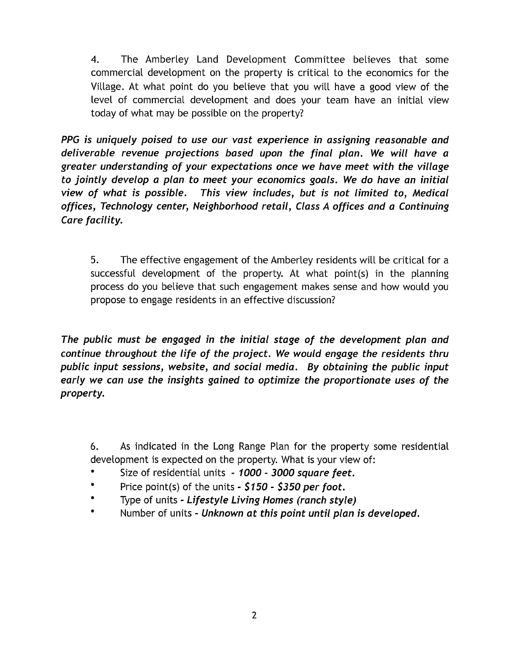$\overline{4}$ . The Amberley Land Development Committee believes that some commercial development on the property is critical to the economics for the Village. At what point do you believe that you will have a good view of the level of commercial development and does your team have an initial view today of what may be possible on the property?

PPG is uniquely poised to use our vast experience in assigning reasonable and deliverable revenue projections based upon the final plan. We will have a greater understanding of your expectations once we have meet with the village to jointly develop a plan to meet your economics goals. We do have an initial view of what is possible. This view includes, but is not limited to, Medical offices, Technology center, Neighborhood retail, Class A offices and a Continuing Care facility.

5. The effective engagement of the Amberley residents will be critical for a successful development of the property. At what point(s) in the planning process do you believe that such engagement makes sense and how would you propose to engage residents in an effective discussion?

The public must be engaged in the initial stage of the development plan and continue throughout the life of the project. We would engage the residents thru public input sessions, website, and social media. By obtaining the public input early we can use the insights gained to optimize the proportionate uses of the property.

6. As indicated in the Long Range Plan for the property some residential development is expected on the property. What is your view of:

- Size of residential units 1000 3000 square feet.  $\bullet$
- $\bullet$ Price point(s) of the units -  $$150 - $350$  per foot.
- Type of units Lifestyle Living Homes (ranch style)
- Number of units Unknown at this point until plan is developed.